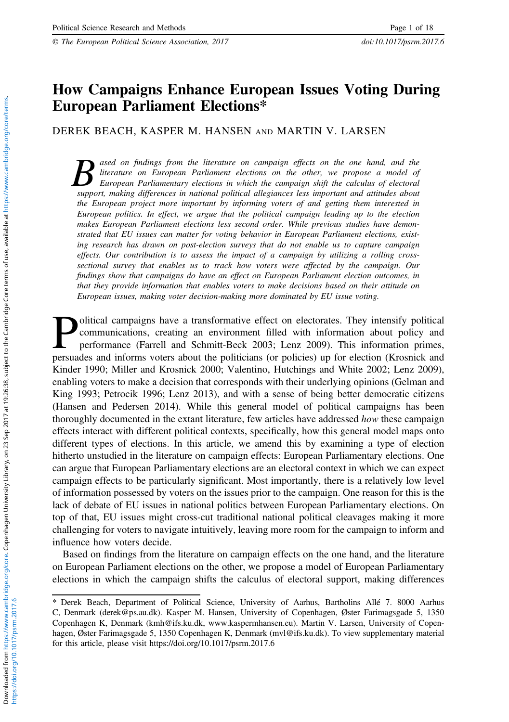# How Campaigns Enhance European Issues Voting During  $\mathbf{E}$

DEREK BEACH, KASPER M. HANSEN AND MARTIN V. LARSEN

**B** ased on findings from the literature on campaign effects on the one hand, and the literature on European Parliament elections on the other, we propose a model of European Parliamentary elections in which the campaign s literature on European Parliament elections on the other, we propose a model of support, making differences in national political allegiances less important and attitudes about the European project more important by informing voters of and getting them interested in European politics. In effect, we argue that the political campaign leading up to the election makes European Parliament elections less second order. While previous studies have demonstrated that EU issues can matter for voting behavior in European Parliament elections, existing research has drawn on post-election surveys that do not enable us to capture campaign effects. Our contribution is to assess the impact of a campaign by utilizing a rolling crosssectional survey that enables us to track how voters were affected by the campaign. Our findings show that campaigns do have an effect on European Parliament election outcomes, in that they provide information that enables voters to make decisions based on their attitude on European issues, making voter decision-making more dominated by EU issue voting.

**Political campaigns have a transformative effect on electorates.** They intensify political communications, creating an environment filled with information about policy and performance (Farrell and Schmitt-Beck 2003; Lenz communications, creating an environment filled with information about policy and performance (Farrell and Schmitt-Beck 2003; Lenz 2009). This information primes, persuades and informs voters about the politicians (or policies) up for election (Krosnick and Kinder [1990;](#page-16-0) Miller and Krosnick [2000;](#page-16-0) Valentino, Hutchings and White [2002](#page-17-0); Lenz [2009\)](#page-16-0), enabling voters to make a decision that corresponds with their underlying opinions (Gelman and King [1993](#page-16-0); Petrocik [1996](#page-16-0); Lenz [2013](#page-16-0)), and with a sense of being better democratic citizens (Hansen and Pedersen [2014\)](#page-16-0). While this general model of political campaigns has been thoroughly documented in the extant literature, few articles have addressed how these campaign effects interact with different political contexts, specifically, how this general model maps onto different types of elections. In this article, we amend this by examining a type of election hitherto unstudied in the literature on campaign effects: European Parliamentary elections. One can argue that European Parliamentary elections are an electoral context in which we can expect campaign effects to be particularly significant. Most importantly, there is a relatively low level of information possessed by voters on the issues prior to the campaign. One reason for this is the lack of debate of EU issues in national politics between European Parliamentary elections. On top of that, EU issues might cross-cut traditional national political cleavages making it more challenging for voters to navigate intuitively, leaving more room for the campaign to inform and influence how voters decide.

Based on findings from the literature on campaign effects on the one hand, and the literature on European Parliament elections on the other, we propose a model of European Parliamentary elections in which the campaign shifts the calculus of electoral support, making differences

<sup>\*</sup> Derek Beach, Department of Political Science, University of Aarhus, Bartholins Allé 7. 8000 Aarhus C, Denmark [\(derek@ps.au.dk\)](mailto:derek@ps.au.dk). Kasper M. Hansen, University of Copenhagen, Øster Farimagsgade 5, 1350 Copenhagen K, Denmark [\(kmh@ifs.ku.dk, www.kaspermhansen.eu](mailto:kmh@ifs.ku.dk, www.kaspermhansen.eu)). Martin V. Larsen, University of Copenhagen, Øster Farimagsgade 5, 1350 Copenhagen K, Denmark [\(mvl@ifs.ku.dk](mailto:mvl@ifs.ku.dk)). To view supplementary material for this article, please visit https://doi.org/10.1017/psrm.2017.6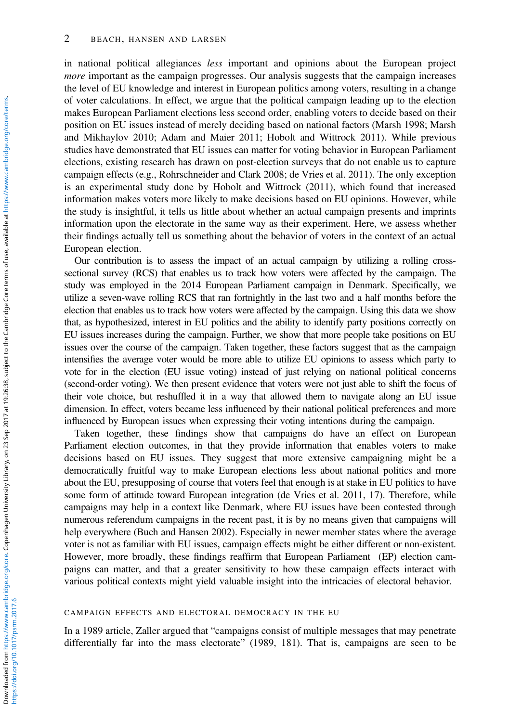### 2 BEACH, HANSEN AND LARSEN

in national political allegiances less important and opinions about the European project more important as the campaign progresses. Our analysis suggests that the campaign increases the level of EU knowledge and interest in European politics among voters, resulting in a change of voter calculations. In effect, we argue that the political campaign leading up to the election makes European Parliament elections less second order, enabling voters to decide based on their position on EU issues instead of merely deciding based on national factors (Marsh [1998;](#page-16-0) Marsh and Mikhaylov [2010](#page-16-0); Adam and Maier 2011; Hobolt and Wittrock [2011](#page-16-0)). While previous studies have demonstrated that EU issues can matter for voting behavior in European Parliament elections, existing research has drawn on post-election surveys that do not enable us to capture campaign effects (e.g., Rohrschneider and Clark [2008](#page-16-0); de Vries et al. [2011\)](#page-15-0). The only exception is an experimental study done by Hobolt and Wittrock ([2011\)](#page-16-0), which found that increased information makes voters more likely to make decisions based on EU opinions. However, while the study is insightful, it tells us little about whether an actual campaign presents and imprints information upon the electorate in the same way as their experiment. Here, we assess whether their findings actually tell us something about the behavior of voters in the context of an actual European election.

Our contribution is to assess the impact of an actual campaign by utilizing a rolling crosssectional survey (RCS) that enables us to track how voters were affected by the campaign. The study was employed in the 2014 European Parliament campaign in Denmark. Specifically, we utilize a seven-wave rolling RCS that ran fortnightly in the last two and a half months before the election that enables us to track how voters were affected by the campaign. Using this data we show that, as hypothesized, interest in EU politics and the ability to identify party positions correctly on EU issues increases during the campaign. Further, we show that more people take positions on EU issues over the course of the campaign. Taken together, these factors suggest that as the campaign intensifies the average voter would be more able to utilize EU opinions to assess which party to vote for in the election (EU issue voting) instead of just relying on national political concerns (second-order voting). We then present evidence that voters were not just able to shift the focus of their vote choice, but reshuffled it in a way that allowed them to navigate along an EU issue dimension. In effect, voters became less influenced by their national political preferences and more influenced by European issues when expressing their voting intentions during the campaign.

Taken together, these findings show that campaigns do have an effect on European Parliament election outcomes, in that they provide information that enables voters to make decisions based on EU issues. They suggest that more extensive campaigning might be a democratically fruitful way to make European elections less about national politics and more about the EU, presupposing of course that voters feel that enough is at stake in EU politics to have some form of attitude toward European integration (de Vries et al. [2011,](#page-15-0) 17). Therefore, while campaigns may help in a context like Denmark, where EU issues have been contested through numerous referendum campaigns in the recent past, it is by no means given that campaigns will help everywhere (Buch and Hansen [2002\)](#page-15-0). Especially in newer member states where the average voter is not as familiar with EU issues, campaign effects might be either different or non-existent. However, more broadly, these findings reaffirm that European Parliament (EP) election campaigns can matter, and that a greater sensitivity to how these campaign effects interact with various political contexts might yield valuable insight into the intricacies of electoral behavior.

#### CAMPAIGN EFFECTS AND ELECTORAL DEMOCRACY IN THE EU

In a 1989 article, Zaller argued that "campaigns consist of multiple messages that may penetrate differentially far into the mass electorate" [\(1989](#page-17-0), 181). That is, campaigns are seen to be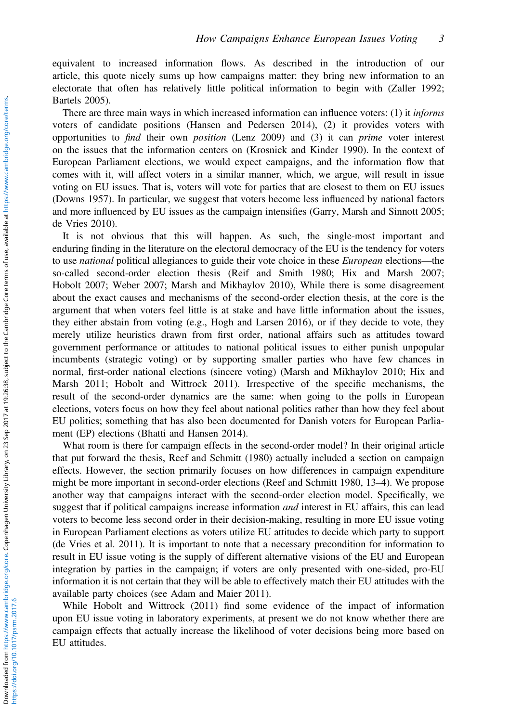equivalent to increased information flows. As described in the introduction of our article, this quote nicely sums up how campaigns matter: they bring new information to an electorate that often has relatively little political information to begin with (Zaller [1992;](#page-17-0) Bartels [2005\)](#page-15-0).

There are three main ways in which increased information can influence voters: (1) it *informs* voters of candidate positions (Hansen and Pedersen [2014](#page-16-0)), (2) it provides voters with opportunities to find their own position (Lenz [2009\)](#page-16-0) and (3) it can prime voter interest on the issues that the information centers on (Krosnick and Kinder [1990\)](#page-16-0). In the context of European Parliament elections, we would expect campaigns, and the information flow that comes with it, will affect voters in a similar manner, which, we argue, will result in issue voting on EU issues. That is, voters will vote for parties that are closest to them on EU issues (Downs [1957](#page-15-0)). In particular, we suggest that voters become less influenced by national factors and more influenced by EU issues as the campaign intensifies (Garry, Marsh and Sinnott [2005;](#page-15-0) de Vries [2010](#page-15-0)).

It is not obvious that this will happen. As such, the single-most important and enduring finding in the literature on the electoral democracy of the EU is the tendency for voters to use *national* political allegiances to guide their vote choice in these *European* elections—the so-called second-order election thesis (Reif and Smith [1980](#page-16-0); Hix and Marsh [2007;](#page-16-0) Hobolt [2007](#page-16-0); Weber 2007; Marsh and Mikhaylov [2010](#page-16-0)), While there is some disagreement about the exact causes and mechanisms of the second-order election thesis, at the core is the argument that when voters feel little is at stake and have little information about the issues, they either abstain from voting (e.g., Hogh and Larsen [2016](#page-16-0)), or if they decide to vote, they merely utilize heuristics drawn from first order, national affairs such as attitudes toward government performance or attitudes to national political issues to either punish unpopular incumbents (strategic voting) or by supporting smaller parties who have few chances in normal, first-order national elections (sincere voting) (Marsh and Mikhaylov [2010;](#page-16-0) Hix and Marsh [2011](#page-16-0); Hobolt and Wittrock [2011](#page-16-0)). Irrespective of the specific mechanisms, the result of the second-order dynamics are the same: when going to the polls in European elections, voters focus on how they feel about national politics rather than how they feel about EU politics; something that has also been documented for Danish voters for European Parliament (EP) elections (Bhatti and Hansen [2014\)](#page-15-0).

What room is there for campaign effects in the second-order model? In their original article that put forward the thesis, Reef and Schmitt ([1980\)](#page-16-0) actually included a section on campaign effects. However, the section primarily focuses on how differences in campaign expenditure might be more important in second-order elections (Reef and Schmitt [1980](#page-16-0), 13–4). We propose another way that campaigns interact with the second-order election model. Specifically, we suggest that if political campaigns increase information *and* interest in EU affairs, this can lead voters to become less second order in their decision-making, resulting in more EU issue voting in European Parliament elections as voters utilize EU attitudes to decide which party to support (de Vries et al. [2011\)](#page-15-0). It is important to note that a necessary precondition for information to result in EU issue voting is the supply of different alternative visions of the EU and European integration by parties in the campaign; if voters are only presented with one-sided, pro-EU information it is not certain that they will be able to effectively match their EU attitudes with the available party choices (see Adam and Maier 2011).

While Hobolt and Wittrock [\(2011\)](#page-16-0) find some evidence of the impact of information upon EU issue voting in laboratory experiments, at present we do not know whether there are campaign effects that actually increase the likelihood of voter decisions being more based on EU attitudes.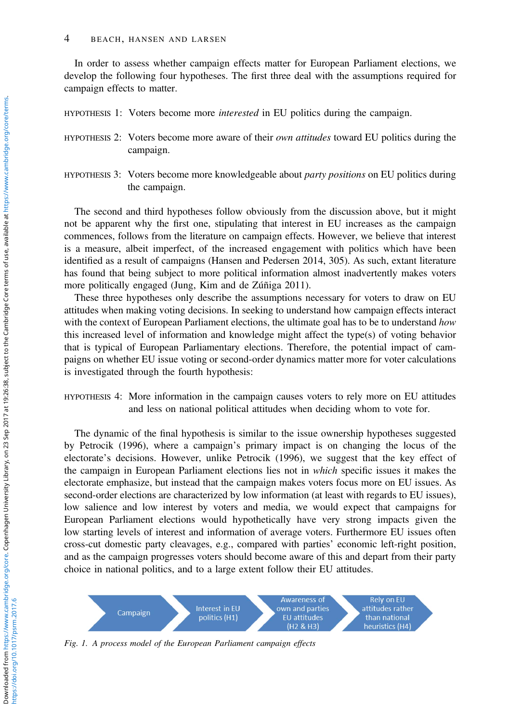<span id="page-3-0"></span>In order to assess whether campaign effects matter for European Parliament elections, we develop the following four hypotheses. The first three deal with the assumptions required for campaign effects to matter.

HYPOTHESIS 1: Voters become more *interested* in EU politics during the campaign.

- HYPOTHESIS 2: Voters become more aware of their own attitudes toward EU politics during the campaign.
- HYPOTHESIS 3: Voters become more knowledgeable about party positions on EU politics during the campaign.

The second and third hypotheses follow obviously from the discussion above, but it might not be apparent why the first one, stipulating that interest in EU increases as the campaign commences, follows from the literature on campaign effects. However, we believe that interest is a measure, albeit imperfect, of the increased engagement with politics which have been identified as a result of campaigns (Hansen and Pedersen [2014](#page-16-0), 305). As such, extant literature has found that being subject to more political information almost inadvertently makes voters more politically engaged (Jung, Kim and de Zúñiga [2011\)](#page-16-0).

These three hypotheses only describe the assumptions necessary for voters to draw on EU attitudes when making voting decisions. In seeking to understand how campaign effects interact with the context of European Parliament elections, the ultimate goal has to be to understand how this increased level of information and knowledge might affect the type(s) of voting behavior that is typical of European Parliamentary elections. Therefore, the potential impact of campaigns on whether EU issue voting or second-order dynamics matter more for voter calculations is investigated through the fourth hypothesis:

HYPOTHESIS 4: More information in the campaign causes voters to rely more on EU attitudes and less on national political attitudes when deciding whom to vote for.

The dynamic of the final hypothesis is similar to the issue ownership hypotheses suggested by Petrocik [\(1996](#page-16-0)), where a campaign's primary impact is on changing the locus of the electorate's decisions. However, unlike Petrocik [\(1996](#page-16-0)), we suggest that the key effect of the campaign in European Parliament elections lies not in which specific issues it makes the electorate emphasize, but instead that the campaign makes voters focus more on EU issues. As second-order elections are characterized by low information (at least with regards to EU issues), low salience and low interest by voters and media, we would expect that campaigns for European Parliament elections would hypothetically have very strong impacts given the low starting levels of interest and information of average voters. Furthermore EU issues often cross-cut domestic party cleavages, e.g., compared with parties' economic left-right position, and as the campaign progresses voters should become aware of this and depart from their party choice in national politics, and to a large extent follow their EU attitudes.



Fig. 1. A process model of the European Parliament campaign effects

https://doi.org/10.1017/psrm.2017.6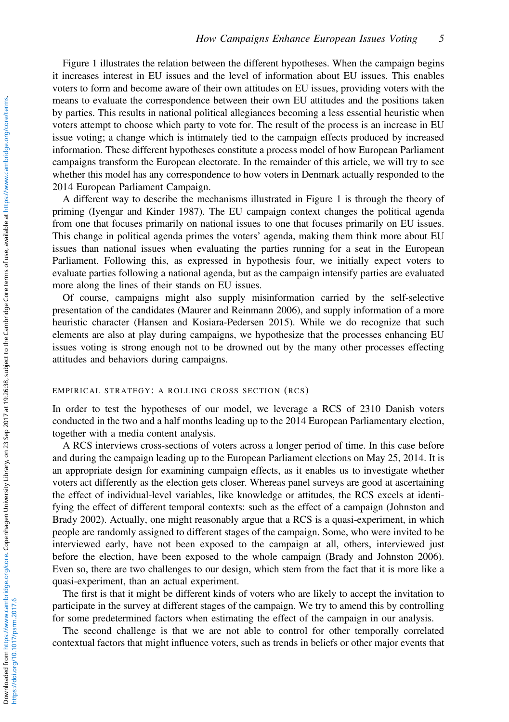[Figure 1](#page-3-0) illustrates the relation between the different hypotheses. When the campaign begins it increases interest in EU issues and the level of information about EU issues. This enables voters to form and become aware of their own attitudes on EU issues, providing voters with the means to evaluate the correspondence between their own EU attitudes and the positions taken by parties. This results in national political allegiances becoming a less essential heuristic when voters attempt to choose which party to vote for. The result of the process is an increase in EU issue voting; a change which is intimately tied to the campaign effects produced by increased information. These different hypotheses constitute a process model of how European Parliament campaigns transform the European electorate. In the remainder of this article, we will try to see whether this model has any correspondence to how voters in Denmark actually responded to the 2014 European Parliament Campaign.

A different way to describe the mechanisms illustrated in [Figure 1](#page-3-0) is through the theory of priming (Iyengar and Kinder [1987\)](#page-16-0). The EU campaign context changes the political agenda from one that focuses primarily on national issues to one that focuses primarily on EU issues. This change in political agenda primes the voters' agenda, making them think more about EU issues than national issues when evaluating the parties running for a seat in the European Parliament. Following this, as expressed in hypothesis four, we initially expect voters to evaluate parties following a national agenda, but as the campaign intensify parties are evaluated more along the lines of their stands on EU issues.

Of course, campaigns might also supply misinformation carried by the self-selective presentation of the candidates (Maurer and Reinmann [2006\)](#page-16-0), and supply information of a more heuristic character (Hansen and Kosiara-Pedersen [2015](#page-16-0)). While we do recognize that such elements are also at play during campaigns, we hypothesize that the processes enhancing EU issues voting is strong enough not to be drowned out by the many other processes effecting attitudes and behaviors during campaigns.

## EMPIRICAL STRATEGY: A ROLLING CROSS SECTION (RCS)

In order to test the hypotheses of our model, we leverage a RCS of 2310 Danish voters conducted in the two and a half months leading up to the 2014 European Parliamentary election, together with a media content analysis.

A RCS interviews cross-sections of voters across a longer period of time. In this case before and during the campaign leading up to the European Parliament elections on May 25, 2014. It is an appropriate design for examining campaign effects, as it enables us to investigate whether voters act differently as the election gets closer. Whereas panel surveys are good at ascertaining the effect of individual-level variables, like knowledge or attitudes, the RCS excels at identifying the effect of different temporal contexts: such as the effect of a campaign (Johnston and Brady [2002\)](#page-16-0). Actually, one might reasonably argue that a RCS is a quasi-experiment, in which people are randomly assigned to different stages of the campaign. Some, who were invited to be interviewed early, have not been exposed to the campaign at all, others, interviewed just before the election, have been exposed to the whole campaign (Brady and Johnston [2006\)](#page-15-0). Even so, there are two challenges to our design, which stem from the fact that it is more like a quasi-experiment, than an actual experiment.

The first is that it might be different kinds of voters who are likely to accept the invitation to participate in the survey at different stages of the campaign. We try to amend this by controlling for some predetermined factors when estimating the effect of the campaign in our analysis.

The second challenge is that we are not able to control for other temporally correlated contextual factors that might influence voters, such as trends in beliefs or other major events that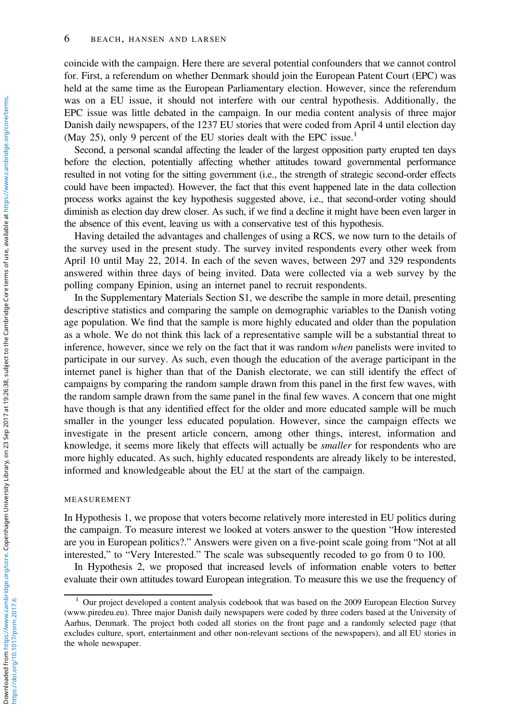### 6 BEACH, HANSEN AND LARSEN

coincide with the campaign. Here there are several potential confounders that we cannot control for. First, a referendum on whether Denmark should join the European Patent Court (EPC) was held at the same time as the European Parliamentary election. However, since the referendum was on a EU issue, it should not interfere with our central hypothesis. Additionally, the EPC issue was little debated in the campaign. In our media content analysis of three major Danish daily newspapers, of the 1237 EU stories that were coded from April 4 until election day (May 25), only 9 percent of the EU stories dealt with the EPC issue.<sup>1</sup>

Second, a personal scandal affecting the leader of the largest opposition party erupted ten days before the election, potentially affecting whether attitudes toward governmental performance resulted in not voting for the sitting government (i.e., the strength of strategic second-order effects could have been impacted). However, the fact that this event happened late in the data collection process works against the key hypothesis suggested above, i.e., that second-order voting should diminish as election day drew closer. As such, if we find a decline it might have been even larger in the absence of this event, leaving us with a conservative test of this hypothesis.

Having detailed the advantages and challenges of using a RCS, we now turn to the details of the survey used in the present study. The survey invited respondents every other week from April 10 until May 22, 2014. In each of the seven waves, between 297 and 329 respondents answered within three days of being invited. Data were collected via a web survey by the polling company Epinion, using an internet panel to recruit respondents.

In the Supplementary Materials Section S1, we describe the sample in more detail, presenting descriptive statistics and comparing the sample on demographic variables to the Danish voting age population. We find that the sample is more highly educated and older than the population as a whole. We do not think this lack of a representative sample will be a substantial threat to inference, however, since we rely on the fact that it was random when panelists were invited to participate in our survey. As such, even though the education of the average participant in the internet panel is higher than that of the Danish electorate, we can still identify the effect of campaigns by comparing the random sample drawn from this panel in the first few waves, with the random sample drawn from the same panel in the final few waves. A concern that one might have though is that any identified effect for the older and more educated sample will be much smaller in the younger less educated population. However, since the campaign effects we investigate in the present article concern, among other things, interest, information and knowledge, it seems more likely that effects will actually be *smaller* for respondents who are more highly educated. As such, highly educated respondents are already likely to be interested, informed and knowledgeable about the EU at the start of the campaign.

#### MEASUREMENT

In Hypothesis 1, we propose that voters become relatively more interested in EU politics during the campaign. To measure interest we looked at voters answer to the question "How interested are you in European politics?." Answers were given on a five-point scale going from "Not at all interested," to "Very Interested." The scale was subsequently recoded to go from 0 to 100.

In Hypothesis 2, we proposed that increased levels of information enable voters to better evaluate their own attitudes toward European integration. To measure this we use the frequency of

https://doi.org/10.1017/psrm.2017.6

<sup>1</sup> Our project developed a content analysis codebook that was based on the 2009 European Election Survey ([www.piredeu.eu\)](www.piredeu.eu). Three major Danish daily newspapers were coded by three coders based at the University of Aarhus, Denmark. The project both coded all stories on the front page and a randomly selected page (that excludes culture, sport, entertainment and other non-relevant sections of the newspapers), and all EU stories in the whole newspaper.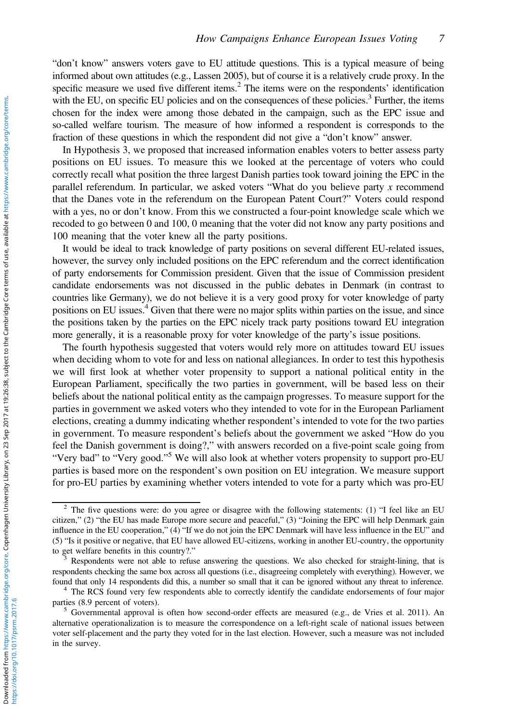"don't know" answers voters gave to EU attitude questions. This is a typical measure of being informed about own attitudes (e.g., Lassen [2005\)](#page-16-0), but of course it is a relatively crude proxy. In the specific measure we used five different items.<sup>2</sup> The items were on the respondents' identification with the EU, on specific EU policies and on the consequences of these policies.<sup>3</sup> Further, the items chosen for the index were among those debated in the campaign, such as the EPC issue and so-called welfare tourism. The measure of how informed a respondent is corresponds to the fraction of these questions in which the respondent did not give a "don't know" answer.

In Hypothesis 3, we proposed that increased information enables voters to better assess party positions on EU issues. To measure this we looked at the percentage of voters who could correctly recall what position the three largest Danish parties took toward joining the EPC in the parallel referendum. In particular, we asked voters "What do you believe party  $x$  recommend that the Danes vote in the referendum on the European Patent Court?" Voters could respond with a yes, no or don't know. From this we constructed a four-point knowledge scale which we recoded to go between 0 and 100, 0 meaning that the voter did not know any party positions and 100 meaning that the voter knew all the party positions.

It would be ideal to track knowledge of party positions on several different EU-related issues, however, the survey only included positions on the EPC referendum and the correct identification of party endorsements for Commission president. Given that the issue of Commission president candidate endorsements was not discussed in the public debates in Denmark (in contrast to countries like Germany), we do not believe it is a very good proxy for voter knowledge of party positions on EU issues.4 Given that there were no major splits within parties on the issue, and since the positions taken by the parties on the EPC nicely track party positions toward EU integration more generally, it is a reasonable proxy for voter knowledge of the party's issue positions.

The fourth hypothesis suggested that voters would rely more on attitudes toward EU issues when deciding whom to vote for and less on national allegiances. In order to test this hypothesis we will first look at whether voter propensity to support a national political entity in the European Parliament, specifically the two parties in government, will be based less on their beliefs about the national political entity as the campaign progresses. To measure support for the parties in government we asked voters who they intended to vote for in the European Parliament elections, creating a dummy indicating whether respondent's intended to vote for the two parties in government. To measure respondent's beliefs about the government we asked "How do you feel the Danish government is doing?," with answers recorded on a five-point scale going from "Very bad" to "Very good."<sup>5</sup> We will also look at whether voters propensity to support pro-EU parties is based more on the respondent's own position on EU integration. We measure support for pro-EU parties by examining whether voters intended to vote for a party which was pro-EU

<sup>&</sup>lt;sup>2</sup> The five questions were: do you agree or disagree with the following statements: (1) "I feel like an EU citizen," (2) "the EU has made Europe more secure and peaceful," (3) "Joining the EPC will help Denmark gain influence in the EU cooperation," (4) "If we do not join the EPC Denmark will have less influence in the EU" and (5) "Is it positive or negative, that EU have allowed EU-citizens, working in another EU-country, the opportunity to get welfare benefits in this country?."<br><sup>3</sup> Respondents were not able to refuse answering the questions. We also checked for straight-lining, that is

respondents checking the same box across all questions (i.e., disagreeing completely with everything). However, we found that only 14 respondents did this, a number so small that it can be ignored without any threat to inference. <sup>4</sup> The RCS found very few respondents able to correctly identify the candidate endorsements of four major

parties (8.9 percent of voters).<br><sup>5</sup> Governmental approval is often how second-order effects are measured (e.g., de Vries et al. [2011](#page-15-0)). An

alternative operationalization is to measure the correspondence on a left-right scale of national issues between voter self-placement and the party they voted for in the last election. However, such a measure was not included in the survey.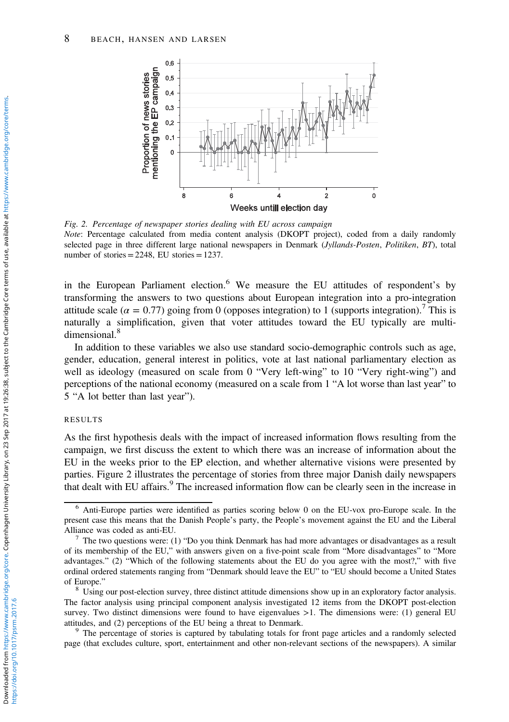

Fig. 2. Percentage of newspaper stories dealing with EU across campaign Note: Percentage calculated from media content analysis (DKOPT project), coded from a daily randomly selected page in three different large national newspapers in Denmark (Jyllands-Posten, Politiken, BT), total number of stories  $=$  2248, EU stories  $=$  1237.

in the European Parliament election.<sup>6</sup> We measure the EU attitudes of respondent's by transforming the answers to two questions about European integration into a pro-integration attitude scale ( $\alpha = 0.77$ ) going from 0 (opposes integration) to 1 (supports integration).<sup>7</sup> This is naturally a simplification, given that voter attitudes toward the EU typically are multidimensional.<sup>8</sup>

In addition to these variables we also use standard socio-demographic controls such as age, gender, education, general interest in politics, vote at last national parliamentary election as well as ideology (measured on scale from 0 "Very left-wing" to 10 "Very right-wing") and perceptions of the national economy (measured on a scale from 1 "A lot worse than last year" to 5 "A lot better than last year").

### RESULTS

As the first hypothesis deals with the impact of increased information flows resulting from the campaign, we first discuss the extent to which there was an increase of information about the EU in the weeks prior to the EP election, and whether alternative visions were presented by parties. Figure 2 illustrates the percentage of stories from three major Danish daily newspapers that dealt with EU affairs.<sup>9</sup> The increased information flow can be clearly seen in the increase in

<sup>6</sup> Anti-Europe parties were identified as parties scoring below 0 on the EU-vox pro-Europe scale. In the present case this means that the Danish People's party, the People's movement against the EU and the Liberal Alliance was coded as anti-EU.<br><sup>7</sup> The two questions were: (1) "Do you think Denmark has had more advantages or disadvantages as a result

of its membership of the EU," with answers given on a five-point scale from "More disadvantages" to "More advantages." (2) "Which of the following statements about the EU do you agree with the most?," with five ordinal ordered statements ranging from "Denmark should leave the EU" to "EU should become a United States

 $<sup>8</sup>$  Using our post-election survey, three distinct attitude dimensions show up in an exploratory factor analysis.</sup> The factor analysis using principal component analysis investigated 12 items from the DKOPT post-election survey. Two distinct dimensions were found to have eigenvalues  $>1$ . The dimensions were: (1) general EU attitudes, and (2) perceptions of the EU being a threat to Denmark.<br><sup>9</sup> The percentage of stories is captured by tabulating totals for front page articles and a randomly selected

page (that excludes culture, sport, entertainment and other non-relevant sections of the newspapers). A similar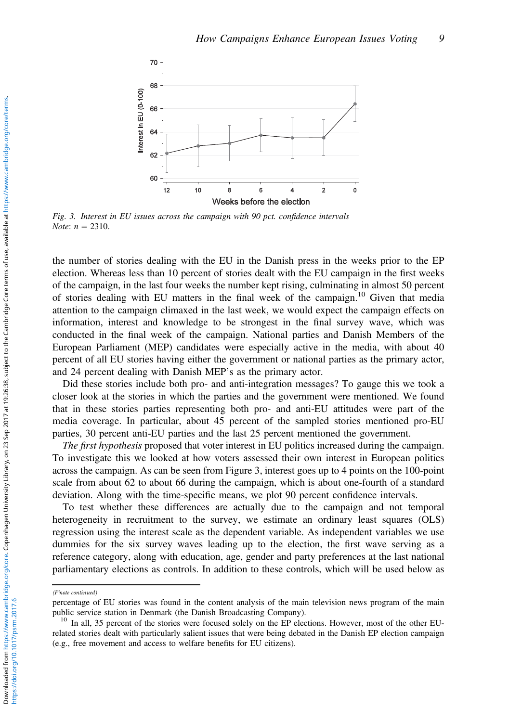

Fig. 3. Interest in EU issues across the campaign with 90 pct. confidence intervals Note:  $n = 2310$ .

the number of stories dealing with the EU in the Danish press in the weeks prior to the EP election. Whereas less than 10 percent of stories dealt with the EU campaign in the first weeks of the campaign, in the last four weeks the number kept rising, culminating in almost 50 percent of stories dealing with EU matters in the final week of the campaign.10 Given that media attention to the campaign climaxed in the last week, we would expect the campaign effects on information, interest and knowledge to be strongest in the final survey wave, which was conducted in the final week of the campaign. National parties and Danish Members of the European Parliament (MEP) candidates were especially active in the media, with about 40 percent of all EU stories having either the government or national parties as the primary actor, and 24 percent dealing with Danish MEP's as the primary actor.

Did these stories include both pro- and anti-integration messages? To gauge this we took a closer look at the stories in which the parties and the government were mentioned. We found that in these stories parties representing both pro- and anti-EU attitudes were part of the media coverage. In particular, about 45 percent of the sampled stories mentioned pro-EU parties, 30 percent anti-EU parties and the last 25 percent mentioned the government.

The first hypothesis proposed that voter interest in EU politics increased during the campaign. To investigate this we looked at how voters assessed their own interest in European politics across the campaign. As can be seen from Figure 3, interest goes up to 4 points on the 100-point scale from about 62 to about 66 during the campaign, which is about one-fourth of a standard deviation. Along with the time-specific means, we plot 90 percent confidence intervals.

To test whether these differences are actually due to the campaign and not temporal heterogeneity in recruitment to the survey, we estimate an ordinary least squares (OLS) regression using the interest scale as the dependent variable. As independent variables we use dummies for the six survey waves leading up to the election, the first wave serving as a reference category, along with education, age, gender and party preferences at the last national parliamentary elections as controls. In addition to these controls, which will be used below as

<sup>(</sup>F'note continued)

percentage of EU stories was found in the content analysis of the main television news program of the main public service station in Denmark (the Danish Broadcasting Company).<br><sup>10</sup> In all, 35 percent of the stories were focused solely on the EP elections. However, most of the other EU-

related stories dealt with particularly salient issues that were being debated in the Danish EP election campaign (e.g., free movement and access to welfare benefits for EU citizens).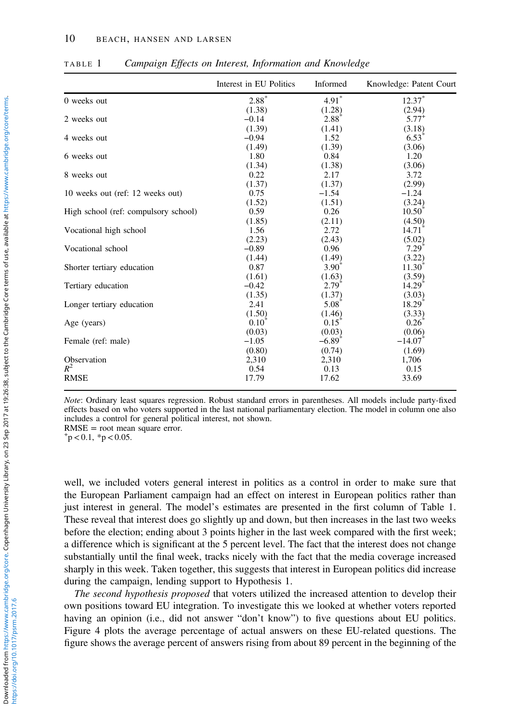|                                      | Interest in EU Politics | Informed             | Knowledge: Patent Court |
|--------------------------------------|-------------------------|----------------------|-------------------------|
| 0 weeks out                          | $2.88*$                 | $4.91*$              | $12.37*$                |
|                                      | (1.38)                  | (1.28)               | (2.94)                  |
| 2 weeks out                          | $-0.14$                 | $2.88^{^{\circ}}$    | $5.77^{+}$              |
|                                      | (1.39)                  | (1.41)               | (3.18)                  |
| 4 weeks out                          | $-0.94$                 | 1.52                 | $6.53^{\degree}$        |
|                                      | (1.49)                  | (1.39)               | (3.06)                  |
| 6 weeks out                          | 1.80                    | 0.84                 | 1.20                    |
|                                      | (1.34)                  | (1.38)               | (3.06)                  |
| 8 weeks out                          | 0.22                    | 2.17                 | 3.72                    |
|                                      | (1.37)                  | (1.37)               | (2.99)                  |
| 10 weeks out (ref: 12 weeks out)     | 0.75                    | $-1.54$              | $-1.24$                 |
|                                      | (1.52)                  | (1.51)               | (3.24)                  |
| High school (ref: compulsory school) | 0.59                    | 0.26                 | $10.50^{^{\circ}}$      |
|                                      | (1.85)                  | (2.11)               | (4.50)                  |
| Vocational high school               | 1.56                    | 2.72                 | 14.71                   |
|                                      | (2.23)                  | (2.43)               | (5.02)                  |
| Vocational school                    | $-0.89$                 | 0.96                 | $7.29^{^{\circ}}$       |
|                                      | (1.44)                  | (1.49)               | (3.22)                  |
| Shorter tertiary education           | 0.87                    | $3.90^{\degree}$     | $11.30^{\degree}$       |
|                                      | (1.61)                  | (1.63)               | (3.59)                  |
| Tertiary education                   | $-0.42$                 | $2.79^{^{\circ}}$    | $14.29$ <sup>*</sup>    |
|                                      | (1.35)                  | (1.37)               | (3.03)                  |
| Longer tertiary education            | 2.41                    | $5.08^{\degree}$     | 18.29 <sup>"</sup>      |
|                                      | (1.50)                  | (1.46)               | (3.33)                  |
| Age (years)                          | $0.10^{\circ}$          | $0.15^{\degree}$     | $0.26^{\circ}$          |
|                                      | (0.03)                  | (0.03)               | (0.06)                  |
| Female (ref: male)                   | $-1.05$                 | $-6.89$ <sup>*</sup> | $-14.07$ <sup>*</sup>   |
|                                      | (0.80)                  | (0.74)               | (1.69)                  |
| Observation                          | 2,310                   | 2,310                | 1,706                   |
| $R^2$                                | 0.54                    | 0.13                 | 0.15                    |
| <b>RMSE</b>                          | 17.79                   | 17.62                | 33.69                   |

<span id="page-9-0"></span>TABLE 1 Campaign Effects on Interest, Information and Knowledge

Note: Ordinary least squares regression. Robust standard errors in parentheses. All models include party-fixed effects based on who voters supported in the last national parliamentary election. The model in column one also includes a control for general political interest, not shown.

 $RMSE = root$  mean square error.

 $p$  < 0.1, \*p < 0.05.

well, we included voters general interest in politics as a control in order to make sure that the European Parliament campaign had an effect on interest in European politics rather than just interest in general. The model's estimates are presented in the first column of Table 1. These reveal that interest does go slightly up and down, but then increases in the last two weeks before the election; ending about 3 points higher in the last week compared with the first week; a difference which is significant at the 5 percent level. The fact that the interest does not change substantially until the final week, tracks nicely with the fact that the media coverage increased sharply in this week. Taken together, this suggests that interest in European politics did increase during the campaign, lending support to Hypothesis 1.

The second hypothesis proposed that voters utilized the increased attention to develop their own positions toward EU integration. To investigate this we looked at whether voters reported having an opinion (i.e., did not answer "don't know") to five questions about EU politics. [Figure 4](#page-10-0) plots the average percentage of actual answers on these EU-related questions. The figure shows the average percent of answers rising from about 89 percent in the beginning of the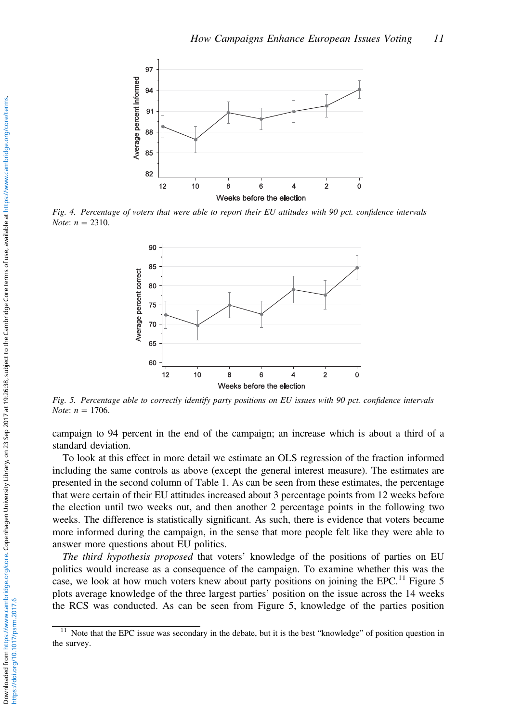<span id="page-10-0"></span>

Fig. 4. Percentage of voters that were able to report their EU attitudes with 90 pct. confidence intervals *Note:*  $n = 2310$ .



Fig. 5. Percentage able to correctly identify party positions on EU issues with 90 pct. confidence intervals *Note:*  $n = 1706$ .

campaign to 94 percent in the end of the campaign; an increase which is about a third of a standard deviation.

To look at this effect in more detail we estimate an OLS regression of the fraction informed including the same controls as above (except the general interest measure). The estimates are presented in the second column of [Table 1.](#page-9-0) As can be seen from these estimates, the percentage that were certain of their EU attitudes increased about 3 percentage points from 12 weeks before the election until two weeks out, and then another 2 percentage points in the following two weeks. The difference is statistically significant. As such, there is evidence that voters became more informed during the campaign, in the sense that more people felt like they were able to answer more questions about EU politics.

The third hypothesis proposed that voters' knowledge of the positions of parties on EU politics would increase as a consequence of the campaign. To examine whether this was the case, we look at how much voters knew about party positions on joining the EPC.<sup>11</sup> Figure 5 plots average knowledge of the three largest parties' position on the issue across the 14 weeks the RCS was conducted. As can be seen from Figure 5, knowledge of the parties position

 $11$  Note that the EPC issue was secondary in the debate, but it is the best "knowledge" of position question in the survey.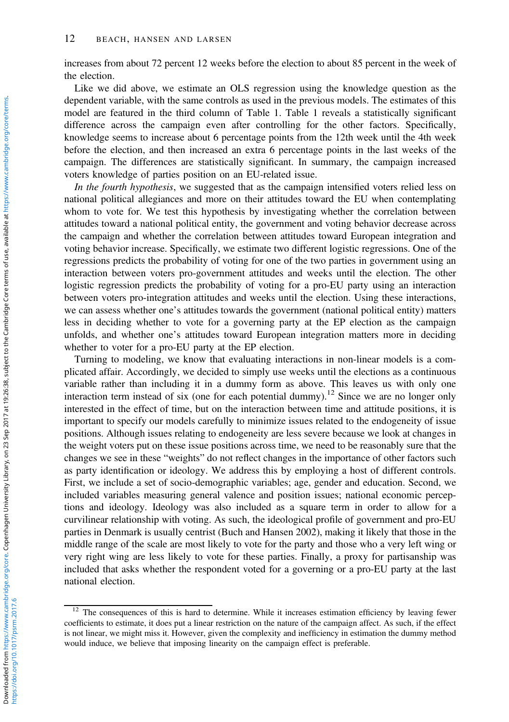increases from about 72 percent 12 weeks before the election to about 85 percent in the week of the election.

Like we did above, we estimate an OLS regression using the knowledge question as the dependent variable, with the same controls as used in the previous models. The estimates of this model are featured in the third column of [Table 1](#page-9-0). [Table 1](#page-9-0) reveals a statistically significant difference across the campaign even after controlling for the other factors. Specifically, knowledge seems to increase about 6 percentage points from the 12th week until the 4th week before the election, and then increased an extra 6 percentage points in the last weeks of the campaign. The differences are statistically significant. In summary, the campaign increased voters knowledge of parties position on an EU-related issue.

In the fourth hypothesis, we suggested that as the campaign intensified voters relied less on national political allegiances and more on their attitudes toward the EU when contemplating whom to vote for. We test this hypothesis by investigating whether the correlation between attitudes toward a national political entity, the government and voting behavior decrease across the campaign and whether the correlation between attitudes toward European integration and voting behavior increase. Specifically, we estimate two different logistic regressions. One of the regressions predicts the probability of voting for one of the two parties in government using an interaction between voters pro-government attitudes and weeks until the election. The other logistic regression predicts the probability of voting for a pro-EU party using an interaction between voters pro-integration attitudes and weeks until the election. Using these interactions, we can assess whether one's attitudes towards the government (national political entity) matters less in deciding whether to vote for a governing party at the EP election as the campaign unfolds, and whether one's attitudes toward European integration matters more in deciding whether to voter for a pro-EU party at the EP election.

Turning to modeling, we know that evaluating interactions in non-linear models is a complicated affair. Accordingly, we decided to simply use weeks until the elections as a continuous variable rather than including it in a dummy form as above. This leaves us with only one interaction term instead of six (one for each potential dummy).<sup>12</sup> Since we are no longer only interested in the effect of time, but on the interaction between time and attitude positions, it is important to specify our models carefully to minimize issues related to the endogeneity of issue positions. Although issues relating to endogeneity are less severe because we look at changes in the weight voters put on these issue positions across time, we need to be reasonably sure that the changes we see in these "weights" do not reflect changes in the importance of other factors such as party identification or ideology. We address this by employing a host of different controls. First, we include a set of socio-demographic variables; age, gender and education. Second, we included variables measuring general valence and position issues; national economic perceptions and ideology. Ideology was also included as a square term in order to allow for a curvilinear relationship with voting. As such, the ideological profile of government and pro-EU parties in Denmark is usually centrist (Buch and Hansen [2002](#page-15-0)), making it likely that those in the middle range of the scale are most likely to vote for the party and those who a very left wing or very right wing are less likely to vote for these parties. Finally, a proxy for partisanship was included that asks whether the respondent voted for a governing or a pro-EU party at the last national election.

<sup>&</sup>lt;sup>12</sup> The consequences of this is hard to determine. While it increases estimation efficiency by leaving fewer coefficients to estimate, it does put a linear restriction on the nature of the campaign affect. As such, if the effect is not linear, we might miss it. However, given the complexity and inefficiency in estimation the dummy method would induce, we believe that imposing linearity on the campaign effect is preferable.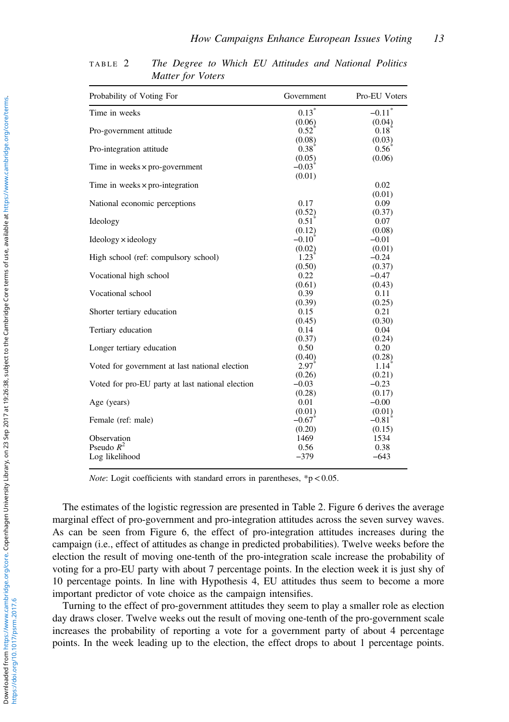| Probability of Voting For                        | Government          | Pro-EU Voters        |
|--------------------------------------------------|---------------------|----------------------|
| Time in weeks                                    | $0.13*$             | $-0.11$ <sup>*</sup> |
|                                                  | (0.06)              | (0.04)               |
| Pro-government attitude                          | $0.52^{\degree}$    | $0.18$ <sup>*</sup>  |
|                                                  | (0.08)              | (0.03)               |
| Pro-integration attitude                         | $0.38^{\circ}$      | $0.56^{\circ}$       |
|                                                  | (0.05)              | (0.06)               |
| Time in weeks $\times$ pro-government            | $-0.03^{\degree}$   |                      |
|                                                  | (0.01)              |                      |
| Time in weeks $\times$ pro-integration           |                     | 0.02                 |
|                                                  |                     | (0.01)               |
| National economic perceptions                    | 0.17                | 0.09                 |
|                                                  | (0.52)              | (0.37)               |
| Ideology                                         | 0.51                | 0.07                 |
|                                                  | (0.12)              | (0.08)               |
| $Ideology \times ideology$                       | $-0.10^{\circ}$     | $-0.01$              |
|                                                  | (0.02)              | (0.01)               |
| High school (ref: compulsory school)             | $1.23$ <sup>*</sup> | $-0.24$              |
|                                                  | (0.50)              | (0.37)               |
| Vocational high school                           | 0.22                | $-0.47$              |
|                                                  | (0.61)              | (0.43)               |
| Vocational school                                | 0.39                | 0.11                 |
|                                                  | (0.39)              | (0.25)               |
| Shorter tertiary education                       | 0.15                | 0.21                 |
|                                                  | (0.45)              | (0.30)               |
| Tertiary education                               | 0.14                | 0.04                 |
|                                                  | (0.37)              | (0.24)               |
| Longer tertiary education                        | 0.50                | 0.20                 |
|                                                  | (0.40)              | (0.28)               |
| Voted for government at last national election   | $2.97$ <sup>*</sup> | $1.14$ <sup>*</sup>  |
|                                                  | (0.26)              | (0.21)               |
| Voted for pro-EU party at last national election | $-0.03$             | $-0.23$              |
|                                                  | (0.28)              | (0.17)               |
| Age (years)                                      | 0.01                | $-0.00$              |
|                                                  | (0.01)              | (0.01)               |
| Female (ref: male)                               | $-0.67$             | $-0.81^{\circ}$      |
|                                                  | (0.20)              | (0.15)               |
| Observation                                      | 1469                | 1534                 |
| Pseudo $R^2$                                     | 0.56                | 0.38                 |
| Log likelihood                                   | $-379$              | $-643$               |

<span id="page-12-0"></span>TABLE 2 The Degree to Which EU Attitudes and National Politics Matter for Voters

*Note:* Logit coefficients with standard errors in parentheses,  $\frac{*p}{0.05}$ .

The estimates of the logistic regression are presented in Table 2. [Figure 6](#page-13-0) derives the average marginal effect of pro-government and pro-integration attitudes across the seven survey waves. As can be seen from [Figure 6,](#page-13-0) the effect of pro-integration attitudes increases during the campaign (i.e., effect of attitudes as change in predicted probabilities). Twelve weeks before the election the result of moving one-tenth of the pro-integration scale increase the probability of voting for a pro-EU party with about 7 percentage points. In the election week it is just shy of 10 percentage points. In line with Hypothesis 4, EU attitudes thus seem to become a more important predictor of vote choice as the campaign intensifies.

Turning to the effect of pro-government attitudes they seem to play a smaller role as election day draws closer. Twelve weeks out the result of moving one-tenth of the pro-government scale increases the probability of reporting a vote for a government party of about 4 percentage points. In the week leading up to the election, the effect drops to about 1 percentage points.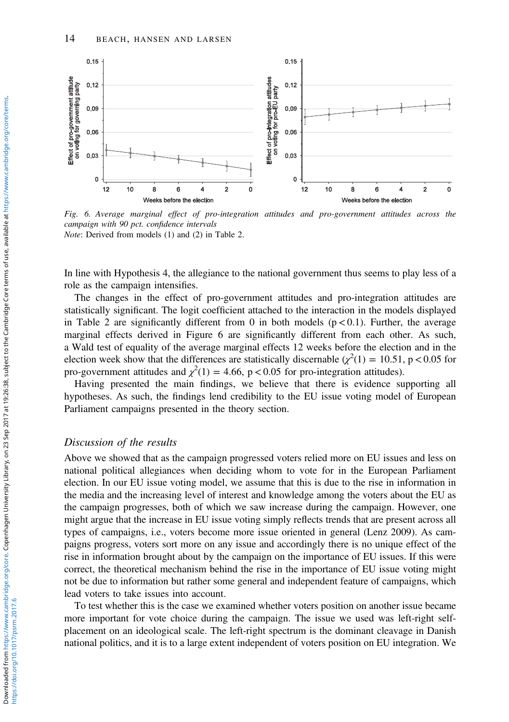<span id="page-13-0"></span>

Fig. 6. Average marginal effect of pro-integration attitudes and pro-government attitudes across the campaign with 90 pct. confidence intervals Note: Derived from models (1) and (2) in [Table 2.](#page-12-0)

In line with Hypothesis 4, the allegiance to the national government thus seems to play less of a role as the campaign intensifies.

The changes in the effect of pro-government attitudes and pro-integration attitudes are statistically significant. The logit coefficient attached to the interaction in the models displayed in [Table 2](#page-12-0) are significantly different from 0 in both models ( $p < 0.1$ ). Further, the average marginal effects derived in Figure 6 are significantly different from each other. As such, a Wald test of equality of the average marginal effects 12 weeks before the election and in the election week show that the differences are statistically discernable ( $\chi^2(1) = 10.51$ , p < 0.05 for pro-government attitudes and  $\chi^2(1) = 4.66$ , p < 0.05 for pro-integration attitudes).

Having presented the main findings, we believe that there is evidence supporting all hypotheses. As such, the findings lend credibility to the EU issue voting model of European Parliament campaigns presented in the theory section.

# Discussion of the results

Above we showed that as the campaign progressed voters relied more on EU issues and less on national political allegiances when deciding whom to vote for in the European Parliament election. In our EU issue voting model, we assume that this is due to the rise in information in the media and the increasing level of interest and knowledge among the voters about the EU as the campaign progresses, both of which we saw increase during the campaign. However, one might argue that the increase in EU issue voting simply reflects trends that are present across all types of campaigns, i.e., voters become more issue oriented in general (Lenz [2009\)](#page-16-0). As campaigns progress, voters sort more on any issue and accordingly there is no unique effect of the rise in information brought about by the campaign on the importance of EU issues. If this were correct, the theoretical mechanism behind the rise in the importance of EU issue voting might not be due to information but rather some general and independent feature of campaigns, which lead voters to take issues into account.

To test whether this is the case we examined whether voters position on another issue became more important for vote choice during the campaign. The issue we used was left-right selfplacement on an ideological scale. The left-right spectrum is the dominant cleavage in Danish national politics, and it is to a large extent independent of voters position on EU integration. We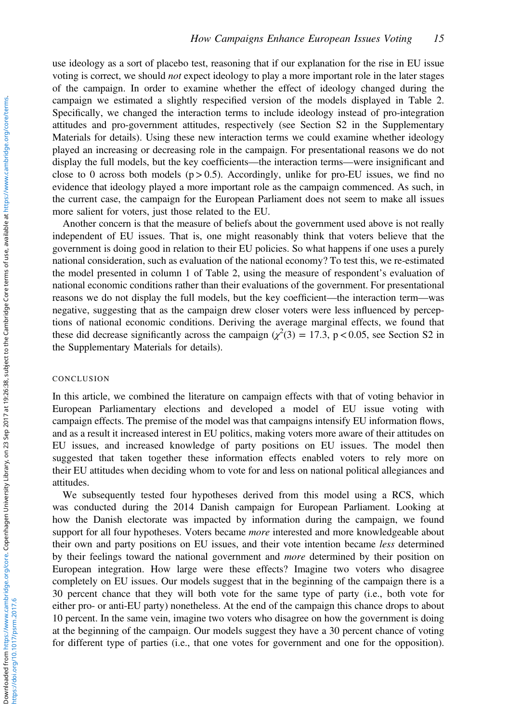use ideology as a sort of placebo test, reasoning that if our explanation for the rise in EU issue voting is correct, we should not expect ideology to play a more important role in the later stages of the campaign. In order to examine whether the effect of ideology changed during the campaign we estimated a slightly respecified version of the models displayed in [Table 2](#page-12-0). Specifically, we changed the interaction terms to include ideology instead of pro-integration attitudes and pro-government attitudes, respectively (see Section S2 in the Supplementary Materials for details). Using these new interaction terms we could examine whether ideology played an increasing or decreasing role in the campaign. For presentational reasons we do not display the full models, but the key coefficients—the interaction terms—were insignificant and close to 0 across both models ( $p > 0.5$ ). Accordingly, unlike for pro-EU issues, we find no evidence that ideology played a more important role as the campaign commenced. As such, in the current case, the campaign for the European Parliament does not seem to make all issues more salient for voters, just those related to the EU.

Another concern is that the measure of beliefs about the government used above is not really independent of EU issues. That is, one might reasonably think that voters believe that the government is doing good in relation to their EU policies. So what happens if one uses a purely national consideration, such as evaluation of the national economy? To test this, we re-estimated the model presented in column 1 of [Table 2](#page-12-0), using the measure of respondent's evaluation of national economic conditions rather than their evaluations of the government. For presentational reasons we do not display the full models, but the key coefficient—the interaction term—was negative, suggesting that as the campaign drew closer voters were less influenced by perceptions of national economic conditions. Deriving the average marginal effects, we found that these did decrease significantly across the campaign  $(\chi^2(3) = 17.3, p < 0.05,$  see Section S2 in the Supplementary Materials for details).

## **CONCLUSION**

In this article, we combined the literature on campaign effects with that of voting behavior in European Parliamentary elections and developed a model of EU issue voting with campaign effects. The premise of the model was that campaigns intensify EU information flows, and as a result it increased interest in EU politics, making voters more aware of their attitudes on EU issues, and increased knowledge of party positions on EU issues. The model then suggested that taken together these information effects enabled voters to rely more on their EU attitudes when deciding whom to vote for and less on national political allegiances and attitudes.

We subsequently tested four hypotheses derived from this model using a RCS, which was conducted during the 2014 Danish campaign for European Parliament. Looking at how the Danish electorate was impacted by information during the campaign, we found support for all four hypotheses. Voters became *more* interested and more knowledgeable about their own and party positions on EU issues, and their vote intention became less determined by their feelings toward the national government and *more* determined by their position on European integration. How large were these effects? Imagine two voters who disagree completely on EU issues. Our models suggest that in the beginning of the campaign there is a 30 percent chance that they will both vote for the same type of party (i.e., both vote for either pro- or anti-EU party) nonetheless. At the end of the campaign this chance drops to about 10 percent. In the same vein, imagine two voters who disagree on how the government is doing at the beginning of the campaign. Our models suggest they have a 30 percent chance of voting for different type of parties (i.e., that one votes for government and one for the opposition).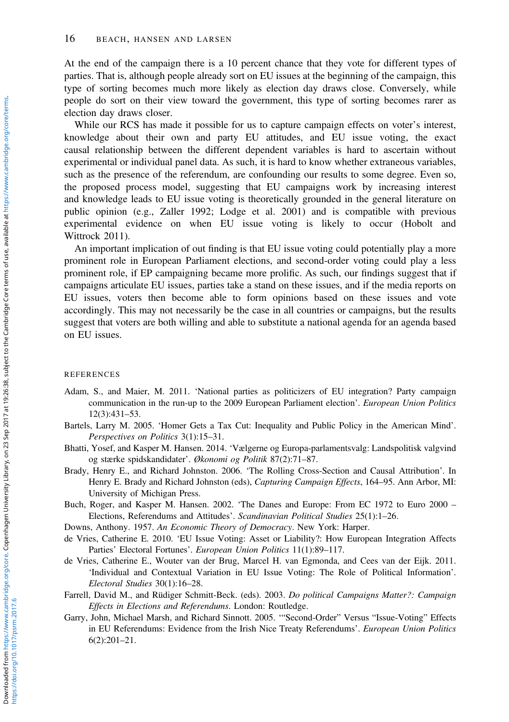<span id="page-15-0"></span>At the end of the campaign there is a 10 percent chance that they vote for different types of parties. That is, although people already sort on EU issues at the beginning of the campaign, this type of sorting becomes much more likely as election day draws close. Conversely, while people do sort on their view toward the government, this type of sorting becomes rarer as election day draws closer.

While our RCS has made it possible for us to capture campaign effects on voter's interest, knowledge about their own and party EU attitudes, and EU issue voting, the exact causal relationship between the different dependent variables is hard to ascertain without experimental or individual panel data. As such, it is hard to know whether extraneous variables, such as the presence of the referendum, are confounding our results to some degree. Even so, the proposed process model, suggesting that EU campaigns work by increasing interest and knowledge leads to EU issue voting is theoretically grounded in the general literature on public opinion (e.g., Zaller [1992](#page-17-0); Lodge et al. 2001) and is compatible with previous experimental evidence on when EU issue voting is likely to occur (Hobolt and Wittrock [2011\)](#page-16-0).

An important implication of out finding is that EU issue voting could potentially play a more prominent role in European Parliament elections, and second-order voting could play a less prominent role, if EP campaigning became more prolific. As such, our findings suggest that if campaigns articulate EU issues, parties take a stand on these issues, and if the media reports on EU issues, voters then become able to form opinions based on these issues and vote accordingly. This may not necessarily be the case in all countries or campaigns, but the results suggest that voters are both willing and able to substitute a national agenda for an agenda based on EU issues.

#### **REFERENCES**

- Adam, S., and Maier, M. 2011. 'National parties as politicizers of EU integration? Party campaign communication in the run-up to the 2009 European Parliament election'. European Union Politics 12(3):431–53.
- Bartels, Larry M. 2005. 'Homer Gets a Tax Cut: Inequality and Public Policy in the American Mind'. Perspectives on Politics 3(1):15–31.
- Bhatti, Yosef, and Kasper M. Hansen. 2014. 'Vælgerne og Europa-parlamentsvalg: Landspolitisk valgvind og stærke spidskandidater'. Økonomi og Politik 87(2):71–87.
- Brady, Henry E., and Richard Johnston. 2006. 'The Rolling Cross-Section and Causal Attribution'. In Henry E. Brady and Richard Johnston (eds), Capturing Campaign Effects, 164–95. Ann Arbor, MI: University of Michigan Press.
- Buch, Roger, and Kasper M. Hansen. 2002. 'The Danes and Europe: From EC 1972 to Euro 2000 Elections, Referendums and Attitudes'. Scandinavian Political Studies 25(1):1–26.

Downs, Anthony. 1957. An Economic Theory of Democracy. New York: Harper.

- de Vries, Catherine E. 2010. 'EU Issue Voting: Asset or Liability?: How European Integration Affects Parties' Electoral Fortunes'. European Union Politics 11(1):89–117.
- de Vries, Catherine E., Wouter van der Brug, Marcel H. van Egmonda, and Cees van der Eijk. 2011. 'Individual and Contextual Variation in EU Issue Voting: The Role of Political Information'. Electoral Studies 30(1):16–28.
- Farrell, David M., and Rüdiger Schmitt-Beck. (eds). 2003. Do political Campaigns Matter?: Campaign Effects in Elections and Referendums. London: Routledge.
- Garry, John, Michael Marsh, and Richard Sinnott. 2005. '"Second-Order" Versus "Issue-Voting" Effects in EU Referendums: Evidence from the Irish Nice Treaty Referendums'. European Union Politics 6(2):201–21.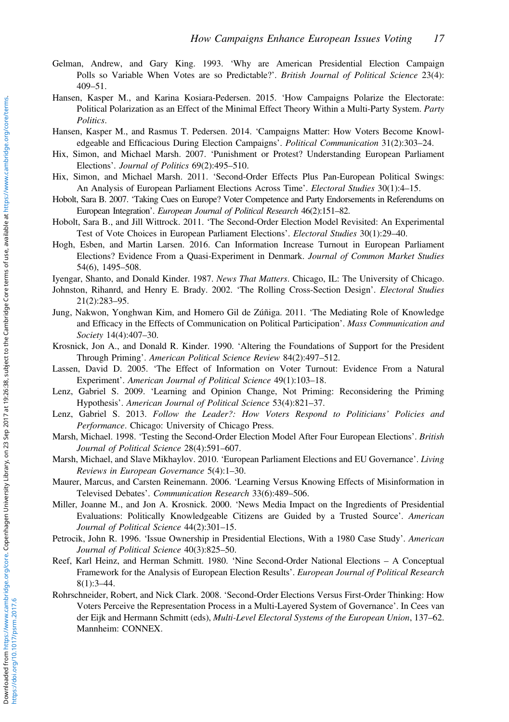- <span id="page-16-0"></span>Gelman, Andrew, and Gary King. 1993. 'Why are American Presidential Election Campaign Polls so Variable When Votes are so Predictable?'. British Journal of Political Science 23(4): 409–51.
- Hansen, Kasper M., and Karina Kosiara-Pedersen. 2015. 'How Campaigns Polarize the Electorate: Political Polarization as an Effect of the Minimal Effect Theory Within a Multi-Party System. Party Politics.
- Hansen, Kasper M., and Rasmus T. Pedersen. 2014. 'Campaigns Matter: How Voters Become Knowledgeable and Efficacious During Election Campaigns'. Political Communication 31(2):303–24.
- Hix, Simon, and Michael Marsh. 2007. 'Punishment or Protest? Understanding European Parliament Elections'. Journal of Politics 69(2):495–510.
- Hix, Simon, and Michael Marsh. 2011. 'Second-Order Effects Plus Pan-European Political Swings: An Analysis of European Parliament Elections Across Time'. Electoral Studies 30(1):4–15.
- Hobolt, Sara B. 2007. 'Taking Cues on Europe? Voter Competence and Party Endorsements in Referendums on European Integration'. European Journal of Political Research 46(2):151–82.
- Hobolt, Sara B., and Jill Wittrock. 2011. 'The Second-Order Election Model Revisited: An Experimental Test of Vote Choices in European Parliament Elections'. Electoral Studies 30(1):29–40.
- Hogh, Esben, and Martin Larsen. 2016. Can Information Increase Turnout in European Parliament Elections? Evidence From a Quasi-Experiment in Denmark. Journal of Common Market Studies 54(6), 1495–508.
- Iyengar, Shanto, and Donald Kinder. 1987. News That Matters. Chicago, IL: The University of Chicago.
- Johnston, Rihanrd, and Henry E. Brady. 2002. 'The Rolling Cross-Section Design'. Electoral Studies 21(2):283–95.
- Jung, Nakwon, Yonghwan Kim, and Homero Gil de Zúñiga. 2011. 'The Mediating Role of Knowledge and Efficacy in the Effects of Communication on Political Participation'. Mass Communication and Society 14(4):407–30.
- Krosnick, Jon A., and Donald R. Kinder. 1990. 'Altering the Foundations of Support for the President Through Priming'. American Political Science Review 84(2):497–512.
- Lassen, David D. 2005. 'The Effect of Information on Voter Turnout: Evidence From a Natural Experiment'. American Journal of Political Science 49(1):103–18.
- Lenz, Gabriel S. 2009. 'Learning and Opinion Change, Not Priming: Reconsidering the Priming Hypothesis'. American Journal of Political Science 53(4):821–37.
- Lenz, Gabriel S. 2013. Follow the Leader?: How Voters Respond to Politicians' Policies and Performance. Chicago: University of Chicago Press.
- Marsh, Michael. 1998. 'Testing the Second-Order Election Model After Four European Elections'. British Journal of Political Science 28(4):591–607.
- Marsh, Michael, and Slave Mikhaylov. 2010. 'European Parliament Elections and EU Governance'. Living Reviews in European Governance 5(4):1–30.
- Maurer, Marcus, and Carsten Reinemann. 2006. 'Learning Versus Knowing Effects of Misinformation in Televised Debates'. Communication Research 33(6):489–506.
- Miller, Joanne M., and Jon A. Krosnick. 2000. 'News Media Impact on the Ingredients of Presidential Evaluations: Politically Knowledgeable Citizens are Guided by a Trusted Source'. American Journal of Political Science 44(2):301–15.
- Petrocik, John R. 1996. 'Issue Ownership in Presidential Elections, With a 1980 Case Study'. American Journal of Political Science 40(3):825–50.
- Reef, Karl Heinz, and Herman Schmitt. 1980. 'Nine Second‐Order National Elections A Conceptual Framework for the Analysis of European Election Results'. European Journal of Political Research 8(1):3–44.
- Rohrschneider, Robert, and Nick Clark. 2008. 'Second-Order Elections Versus First-Order Thinking: How Voters Perceive the Representation Process in a Multi-Layered System of Governance'. In Cees van der Eijk and Hermann Schmitt (eds), Multi-Level Electoral Systems of the European Union, 137–62. Mannheim: CONNEX.